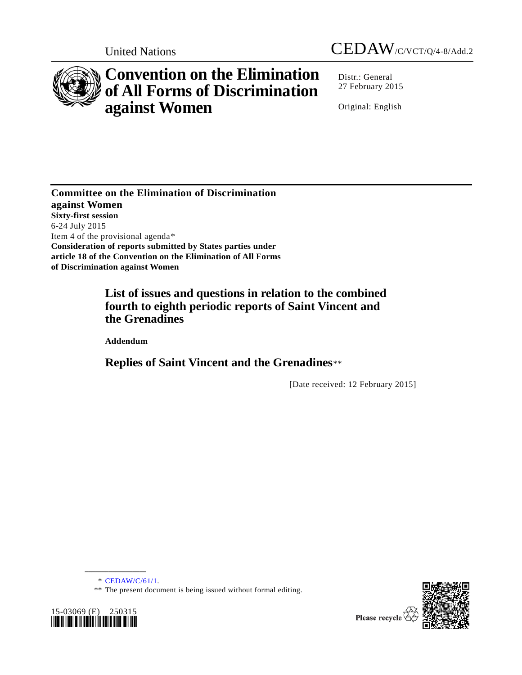



# **Convention on the Elimination of All Forms of Discrimination against Women**

Distr.: General 27 February 2015

Original: English

**Committee on the Elimination of Discrimination against Women Sixty-first session** 6-24 July 2015 Item 4 of the provisional agenda[\\*](#page-0-0) **Consideration of reports submitted by States parties under article 18 of the Convention on the Elimination of All Forms of Discrimination against Women**

## **List of issues and questions in relation to the combined fourth to eighth periodic reports of Saint Vincent and the Grenadines**

**Addendum**

**Replies of Saint Vincent and the Grenadines**[\\*\\*](#page-0-1)

[Date received: 12 February 2015]

\* [CEDAW/C/61/1.](http://undocs.org/CEDAW/C/61/1)

**\_\_\_\_\_\_\_\_\_\_\_\_\_\_\_\_\_\_**

\*\* The present document is being issued without formal editing.

<span id="page-0-1"></span><span id="page-0-0"></span>

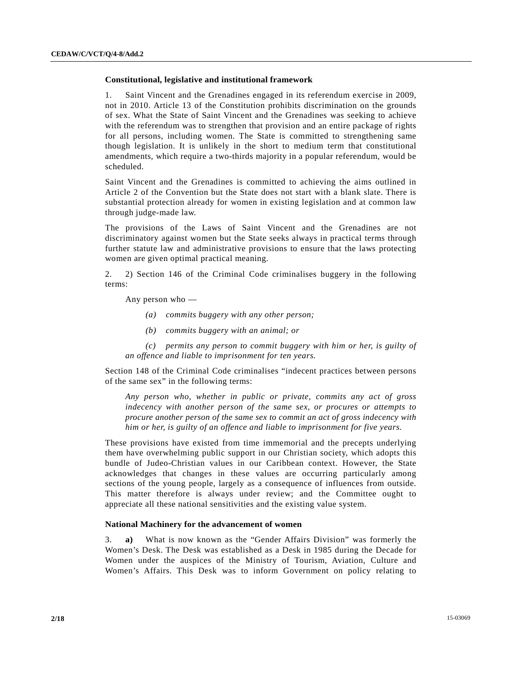### **Constitutional, legislative and institutional framework**

1. Saint Vincent and the Grenadines engaged in its referendum exercise in 2009, not in 2010. Article 13 of the Constitution prohibits discrimination on the grounds of sex. What the State of Saint Vincent and the Grenadines was seeking to achieve with the referendum was to strengthen that provision and an entire package of rights for all persons, including women. The State is committed to strengthening same though legislation. It is unlikely in the short to medium term that constitutional amendments, which require a two-thirds majority in a popular referendum, would be scheduled.

Saint Vincent and the Grenadines is committed to achieving the aims outlined in Article 2 of the Convention but the State does not start with a blank slate. There is substantial protection already for women in existing legislation and at common law through judge-made law.

The provisions of the Laws of Saint Vincent and the Grenadines are not discriminatory against women but the State seeks always in practical terms through further statute law and administrative provisions to ensure that the laws protecting women are given optimal practical meaning.

2. 2) Section 146 of the Criminal Code criminalises buggery in the following terms:

Any person who —

- *(a) commits buggery with any other person;*
- *(b) commits buggery with an animal; or*

*(c) permits any person to commit buggery with him or her, is guilty of an offence and liable to imprisonment for ten years.*

Section 148 of the Criminal Code criminalises "indecent practices between persons of the same sex" in the following terms:

*Any person who, whether in public or private, commits any act of gross indecency with another person of the same sex, or procures or attempts to procure another person of the same sex to commit an act of gross indecency with him or her, is guilty of an offence and liable to imprisonment for five years.*

These provisions have existed from time immemorial and the precepts underlying them have overwhelming public support in our Christian society, which adopts this bundle of Judeo-Christian values in our Caribbean context. However, the State acknowledges that changes in these values are occurring particularly among sections of the young people, largely as a consequence of influences from outside. This matter therefore is always under review; and the Committee ought to appreciate all these national sensitivities and the existing value system.

#### **National Machinery for the advancement of women**

3. **a)** What is now known as the "Gender Affairs Division" was formerly the Women's Desk. The Desk was established as a Desk in 1985 during the Decade for Women under the auspices of the Ministry of Tourism, Aviation, Culture and Women's Affairs. This Desk was to inform Government on policy relating to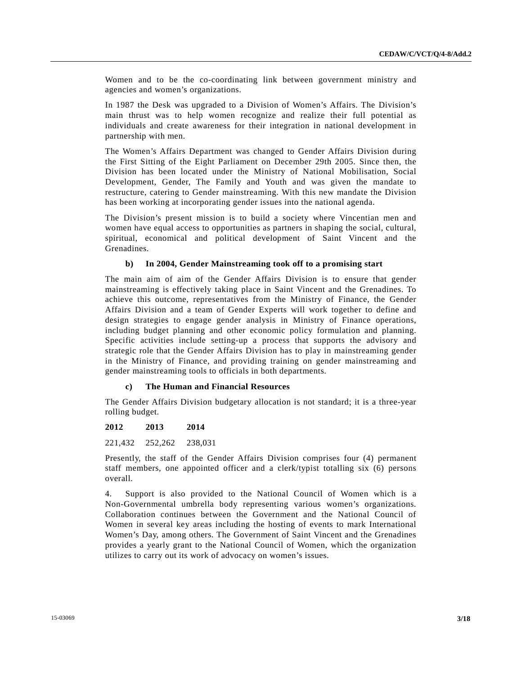Women and to be the co-coordinating link between government ministry and agencies and women's organizations.

In 1987 the Desk was upgraded to a Division of Women's Affairs. The Division's main thrust was to help women recognize and realize their full potential as individuals and create awareness for their integration in national development in partnership with men.

The Women's Affairs Department was changed to Gender Affairs Division during the First Sitting of the Eight Parliament on December 29th 2005. Since then, the Division has been located under the Ministry of National Mobilisation, Social Development, Gender, The Family and Youth and was given the mandate to restructure, catering to Gender mainstreaming. With this new mandate the Division has been working at incorporating gender issues into the national agenda.

The Division's present mission is to build a society where Vincentian men and women have equal access to opportunities as partners in shaping the social, cultural, spiritual, economical and political development of Saint Vincent and the Grenadines.

### **b) In 2004, Gender Mainstreaming took off to a promising start**

The main aim of aim of the Gender Affairs Division is to ensure that gender mainstreaming is effectively taking place in Saint Vincent and the Grenadines. To achieve this outcome, representatives from the Ministry of Finance, the Gender Affairs Division and a team of Gender Experts will work together to define and design strategies to engage gender analysis in Ministry of Finance operations, including budget planning and other economic policy formulation and planning. Specific activities include setting-up a process that supports the advisory and strategic role that the Gender Affairs Division has to play in mainstreaming gender in the Ministry of Finance, and providing training on gender mainstreaming and gender mainstreaming tools to officials in both departments.

### **c) The Human and Financial Resources**

The Gender Affairs Division budgetary allocation is not standard; it is a three-year rolling budget.

#### **2012 2013 2014**

221,432 252,262 238,031

Presently, the staff of the Gender Affairs Division comprises four (4) permanent staff members, one appointed officer and a clerk/typist totalling six (6) persons overall.

4. Support is also provided to the National Council of Women which is a Non-Governmental umbrella body representing various women's organizations. Collaboration continues between the Government and the National Council of Women in several key areas including the hosting of events to mark International Women's Day, among others. The Government of Saint Vincent and the Grenadines provides a yearly grant to the National Council of Women, which the organization utilizes to carry out its work of advocacy on women's issues.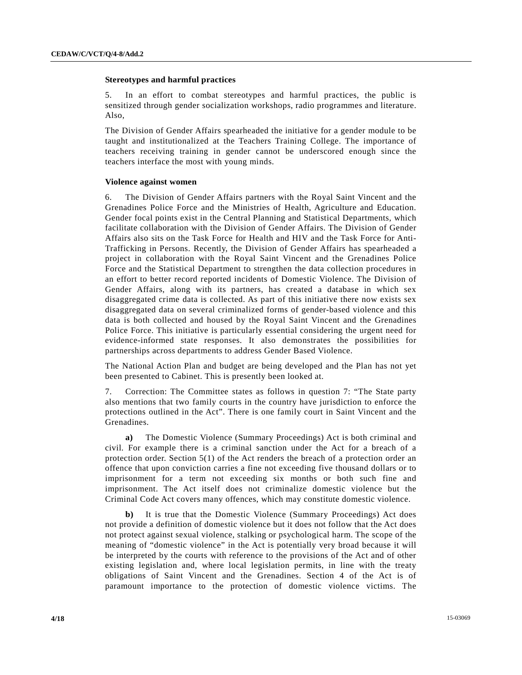### **Stereotypes and harmful practices**

5. In an effort to combat stereotypes and harmful practices, the public is sensitized through gender socialization workshops, radio programmes and literature. Also,

The Division of Gender Affairs spearheaded the initiative for a gender module to be taught and institutionalized at the Teachers Training College. The importance of teachers receiving training in gender cannot be underscored enough since the teachers interface the most with young minds.

#### **Violence against women**

6. The Division of Gender Affairs partners with the Royal Saint Vincent and the Grenadines Police Force and the Ministries of Health, Agriculture and Education. Gender focal points exist in the Central Planning and Statistical Departments, which facilitate collaboration with the Division of Gender Affairs. The Division of Gender Affairs also sits on the Task Force for Health and HIV and the Task Force for Anti-Trafficking in Persons. Recently, the Division of Gender Affairs has spearheaded a project in collaboration with the Royal Saint Vincent and the Grenadines Police Force and the Statistical Department to strengthen the data collection procedures in an effort to better record reported incidents of Domestic Violence. The Division of Gender Affairs, along with its partners, has created a database in which sex disaggregated crime data is collected. As part of this initiative there now exists sex disaggregated data on several criminalized forms of gender-based violence and this data is both collected and housed by the Royal Saint Vincent and the Grenadines Police Force. This initiative is particularly essential considering the urgent need for evidence-informed state responses. It also demonstrates the possibilities for partnerships across departments to address Gender Based Violence.

The National Action Plan and budget are being developed and the Plan has not yet been presented to Cabinet. This is presently been looked at.

7. Correction: The Committee states as follows in question 7: "The State party also mentions that two family courts in the country have jurisdiction to enforce the protections outlined in the Act". There is one family court in Saint Vincent and the Grenadines.

**a)** The Domestic Violence (Summary Proceedings) Act is both criminal and civil. For example there is a criminal sanction under the Act for a breach of a protection order. Section 5(1) of the Act renders the breach of a protection order an offence that upon conviction carries a fine not exceeding five thousand dollars or to imprisonment for a term not exceeding six months or both such fine and imprisonment. The Act itself does not criminalize domestic violence but the Criminal Code Act covers many offences, which may constitute domestic violence.

**b)** It is true that the Domestic Violence (Summary Proceedings) Act does not provide a definition of domestic violence but it does not follow that the Act does not protect against sexual violence, stalking or psychological harm. The scope of the meaning of "domestic violence" in the Act is potentially very broad because it will be interpreted by the courts with reference to the provisions of the Act and of other existing legislation and, where local legislation permits, in line with the treaty obligations of Saint Vincent and the Grenadines. Section 4 of the Act is of paramount importance to the protection of domestic violence victims. The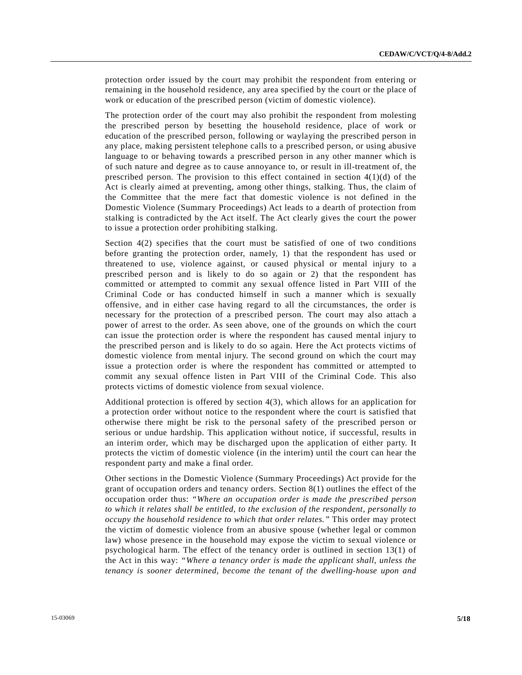protection order issued by the court may prohibit the respondent from entering or remaining in the household residence, any area specified by the court or the place of work or education of the prescribed person (victim of domestic violence).

The protection order of the court may also prohibit the respondent from molesting the prescribed person by besetting the household residence, place of work or education of the prescribed person, following or waylaying the prescribed person in any place, making persistent telephone calls to a prescribed person, or using abusive language to or behaving towards a prescribed person in any other manner which is of such nature and degree as to cause annoyance to, or result in ill-treatment of, the prescribed person. The provision to this effect contained in section 4(1)(d) of the Act is clearly aimed at preventing, among other things, stalking. Thus, the claim of the Committee that the mere fact that domestic violence is not defined in the Domestic Violence (Summary Proceedings) Act leads to a dearth of protection from stalking is contradicted by the Act itself. The Act clearly gives the court the power to issue a protection order prohibiting stalking.

Section 4(2) specifies that the court must be satisfied of one of two conditions before granting the protection order, namely, 1) that the respondent has used or threatened to use, violence against, or caused physical or mental injury to a prescribed person and is likely to do so again or 2) that the respondent has committed or attempted to commit any sexual offence listed in Part VIII of the Criminal Code or has conducted himself in such a manner which is sexually offensive, and in either case having regard to all the circumstances, the order is necessary for the protection of a prescribed person. The court may also attach a power of arrest to the order. As seen above, one of the grounds on which the court can issue the protection order is where the respondent has caused mental injury to the prescribed person and is likely to do so again. Here the Act protects victims of domestic violence from mental injury. The second ground on which the court may issue a protection order is where the respondent has committed or attempted to commit any sexual offence listen in Part VIII of the Criminal Code. This also protects victims of domestic violence from sexual violence.

Additional protection is offered by section 4(3), which allows for an application for a protection order without notice to the respondent where the court is satisfied that otherwise there might be risk to the personal safety of the prescribed person or serious or undue hardship. This application without notice, if successful, results in an interim order, which may be discharged upon the application of either party. It protects the victim of domestic violence (in the interim) until the court can hear the respondent party and make a final order.

Other sections in the Domestic Violence (Summary Proceedings) Act provide for the grant of occupation orders and tenancy orders. Section 8(1) outlines the effect of the occupation order thus: *"Where an occupation order is made the prescribed person to which it relates shall be entitled, to the exclusion of the respondent, personally to occupy the household residence to which that order relates."* This order may protect the victim of domestic violence from an abusive spouse (whether legal or common law) whose presence in the household may expose the victim to sexual violence or psychological harm. The effect of the tenancy order is outlined in section 13(1) of the Act in this way: *"Where a tenancy order is made the applicant shall, unless the tenancy is sooner determined, become the tenant of the dwelling-house upon and*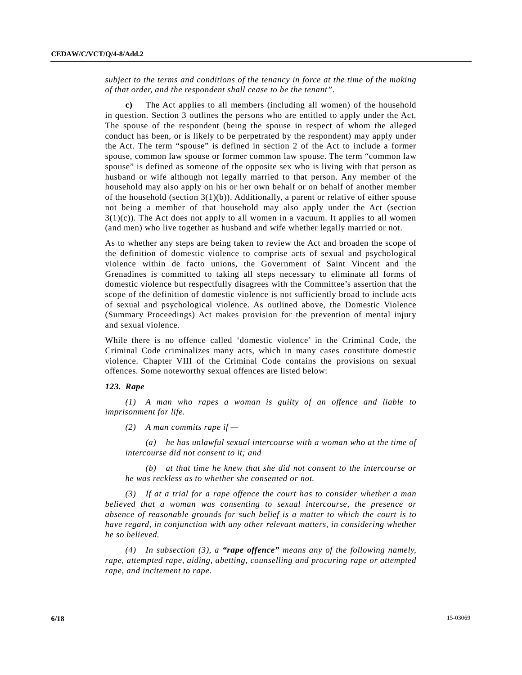*subject to the terms and conditions of the tenancy in force at the time of the making of that order, and the respondent shall cease to be the tenant"*.

**c)** The Act applies to all members (including all women) of the household in question. Section 3 outlines the persons who are entitled to apply under the Act. The spouse of the respondent (being the spouse in respect of whom the alleged conduct has been, or is likely to be perpetrated by the respondent) may apply under the Act. The term "spouse" is defined in section 2 of the Act to include a former spouse, common law spouse or former common law spouse. The term "common law spouse" is defined as someone of the opposite sex who is living with that person as husband or wife although not legally married to that person. Any member of the household may also apply on his or her own behalf or on behalf of another member of the household (section  $3(1)(b)$ ). Additionally, a parent or relative of either spouse not being a member of that household may also apply under the Act (section  $3(1)(c)$ ). The Act does not apply to all women in a vacuum. It applies to all women (and men) who live together as husband and wife whether legally married or not.

As to whether any steps are being taken to review the Act and broaden the scope of the definition of domestic violence to comprise acts of sexual and psychological violence within de facto unions, the Government of Saint Vincent and the Grenadines is committed to taking all steps necessary to eliminate all forms of domestic violence but respectfully disagrees with the Committee's assertion that the scope of the definition of domestic violence is not sufficiently broad to include acts of sexual and psychological violence. As outlined above, the Domestic Violence (Summary Proceedings) Act makes provision for the prevention of mental injury and sexual violence.

While there is no offence called 'domestic violence' in the Criminal Code, the Criminal Code criminalizes many acts, which in many cases constitute domestic violence. Chapter VIII of the Criminal Code contains the provisions on sexual offences. Some noteworthy sexual offences are listed below:

#### *123. Rape*

*(1) A man who rapes a woman is guilty of an offence and liable to imprisonment for life.*

*(2) A man commits rape if —*

*(a) he has unlawful sexual intercourse with a woman who at the time of intercourse did not consent to it; and*

*(b) at that time he knew that she did not consent to the intercourse or he was reckless as to whether she consented or not.*

*(3) If at a trial for a rape offence the court has to consider whether a man believed that a woman was consenting to sexual intercourse, the presence or absence of reasonable grounds for such belief is a matter to which the court is to have regard, in conjunction with any other relevant matters, in considering whether he so believed.*

*(4) In subsection (3), a "rape offence" means any of the following namely, rape, attempted rape, aiding, abetting, counselling and procuring rape or attempted rape, and incitement to rape.*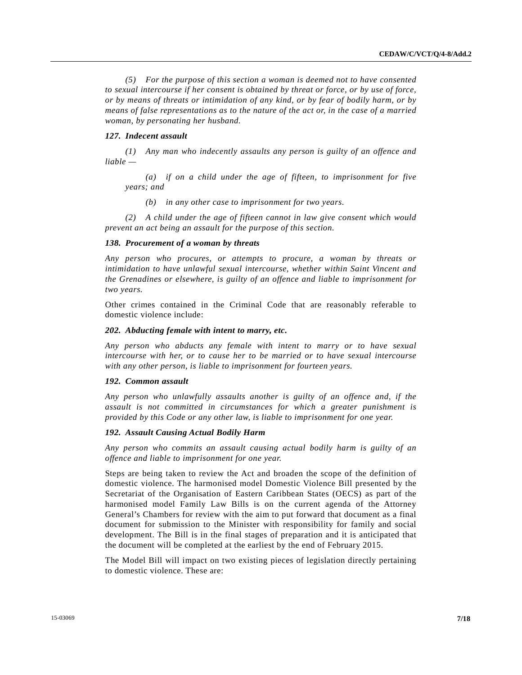*(5) For the purpose of this section a woman is deemed not to have consented to sexual intercourse if her consent is obtained by threat or force, or by use of force, or by means of threats or intimidation of any kind, or by fear of bodily harm, or by means of false representations as to the nature of the act or, in the case of a married woman, by personating her husband.*

### *127. Indecent assault*

*(1) Any man who indecently assaults any person is guilty of an offence and liable —*

*(a) if on a child under the age of fifteen, to imprisonment for five years; and*

*(b) in any other case to imprisonment for two years.*

*(2) A child under the age of fifteen cannot in law give consent which would prevent an act being an assault for the purpose of this section.*

#### *138. Procurement of a woman by threats*

*Any person who procures, or attempts to procure, a woman by threats or intimidation to have unlawful sexual intercourse, whether within Saint Vincent and the Grenadines or elsewhere, is guilty of an offence and liable to imprisonment for two years.*

Other crimes contained in the Criminal Code that are reasonably referable to domestic violence include:

#### *202. Abducting female with intent to marry, etc.*

*Any person who abducts any female with intent to marry or to have sexual intercourse with her, or to cause her to be married or to have sexual intercourse with any other person, is liable to imprisonment for fourteen years.*

### *192. Common assault*

*Any person who unlawfully assaults another is guilty of an offence and, if the assault is not committed in circumstances for which a greater punishment is provided by this Code or any other law, is liable to imprisonment for one year.*

#### *192. Assault Causing Actual Bodily Harm*

*Any person who commits an assault causing actual bodily harm is guilty of an offence and liable to imprisonment for one year.*

Steps are being taken to review the Act and broaden the scope of the definition of domestic violence. The harmonised model Domestic Violence Bill presented by the Secretariat of the Organisation of Eastern Caribbean States (OECS) as part of the harmonised model Family Law Bills is on the current agenda of the Attorney General's Chambers for review with the aim to put forward that document as a final document for submission to the Minister with responsibility for family and social development. The Bill is in the final stages of preparation and it is anticipated that the document will be completed at the earliest by the end of February 2015.

The Model Bill will impact on two existing pieces of legislation directly pertaining to domestic violence. These are: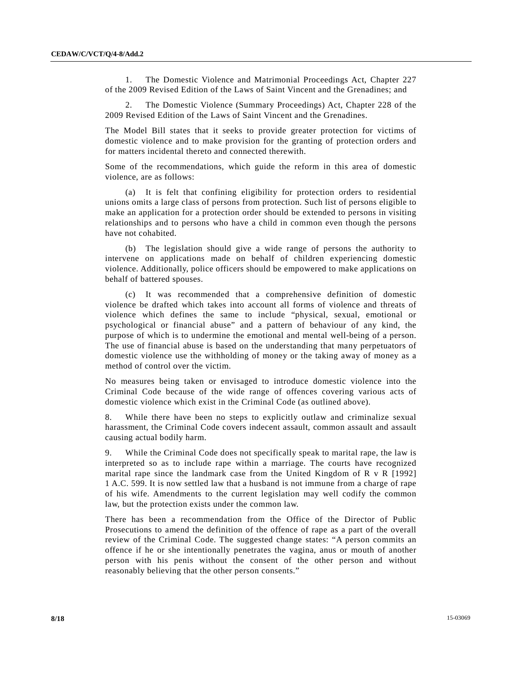1. The Domestic Violence and Matrimonial Proceedings Act, Chapter 227 of the 2009 Revised Edition of the Laws of Saint Vincent and the Grenadines; and

2. The Domestic Violence (Summary Proceedings) Act, Chapter 228 of the 2009 Revised Edition of the Laws of Saint Vincent and the Grenadines.

The Model Bill states that it seeks to provide greater protection for victims of domestic violence and to make provision for the granting of protection orders and for matters incidental thereto and connected therewith.

Some of the recommendations, which guide the reform in this area of domestic violence, are as follows:

(a) It is felt that confining eligibility for protection orders to residential unions omits a large class of persons from protection. Such list of persons eligible to make an application for a protection order should be extended to persons in visiting relationships and to persons who have a child in common even though the persons have not cohabited.

(b) The legislation should give a wide range of persons the authority to intervene on applications made on behalf of children experiencing domestic violence. Additionally, police officers should be empowered to make applications on behalf of battered spouses.

(c) It was recommended that a comprehensive definition of domestic violence be drafted which takes into account all forms of violence and threats of violence which defines the same to include "physical, sexual, emotional or psychological or financial abuse" and a pattern of behaviour of any kind, the purpose of which is to undermine the emotional and mental well-being of a person. The use of financial abuse is based on the understanding that many perpetuators of domestic violence use the withholding of money or the taking away of money as a method of control over the victim.

No measures being taken or envisaged to introduce domestic violence into the Criminal Code because of the wide range of offences covering various acts of domestic violence which exist in the Criminal Code (as outlined above).

8. While there have been no steps to explicitly outlaw and criminalize sexual harassment, the Criminal Code covers indecent assault, common assault and assault causing actual bodily harm.

9. While the Criminal Code does not specifically speak to marital rape, the law is interpreted so as to include rape within a marriage. The courts have recognized marital rape since the landmark case from the United Kingdom of R v R [1992] 1 A.C. 599. It is now settled law that a husband is not immune from a charge of rape of his wife. Amendments to the current legislation may well codify the common law, but the protection exists under the common law.

There has been a recommendation from the Office of the Director of Public Prosecutions to amend the definition of the offence of rape as a part of the overall review of the Criminal Code. The suggested change states: "A person commits an offence if he or she intentionally penetrates the vagina, anus or mouth of another person with his penis without the consent of the other person and without reasonably believing that the other person consents."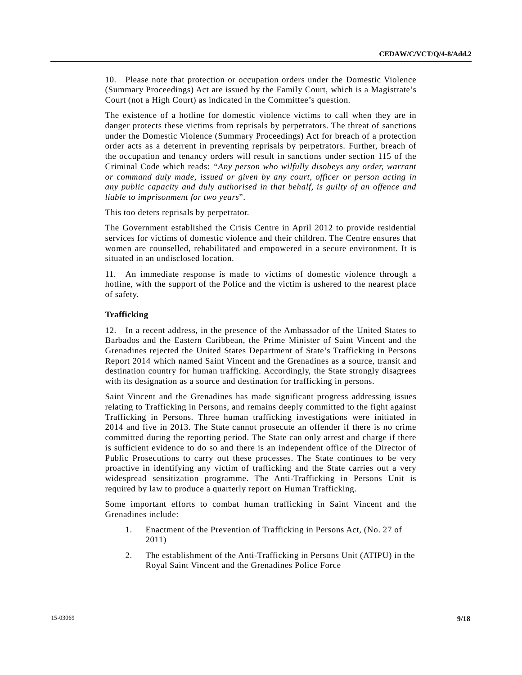10. Please note that protection or occupation orders under the Domestic Violence (Summary Proceedings) Act are issued by the Family Court, which is a Magistrate's Court (not a High Court) as indicated in the Committee's question.

The existence of a hotline for domestic violence victims to call when they are in danger protects these victims from reprisals by perpetrators. The threat of sanctions under the Domestic Violence (Summary Proceedings) Act for breach of a protection order acts as a deterrent in preventing reprisals by perpetrators. Further, breach of the occupation and tenancy orders will result in sanctions under section 115 of the Criminal Code which reads: *"Any person who wilfully disobeys any order, warrant or command duly made, issued or given by any court, officer or person acting in any public capacity and duly authorised in that behalf, is guilty of an offence and liable to imprisonment for two years*".

This too deters reprisals by perpetrator.

The Government established the Crisis Centre in April 2012 to provide residential services for victims of domestic violence and their children. The Centre ensures that women are counselled, rehabilitated and empowered in a secure environment. It is situated in an undisclosed location.

11. An immediate response is made to victims of domestic violence through a hotline, with the support of the Police and the victim is ushered to the nearest place of safety.

### **Trafficking**

12. In a recent address, in the presence of the Ambassador of the United States to Barbados and the Eastern Caribbean, the Prime Minister of Saint Vincent and the Grenadines rejected the United States Department of State's Trafficking in Persons Report 2014 which named Saint Vincent and the Grenadines as a source, transit and destination country for human trafficking. Accordingly, the State strongly disagrees with its designation as a source and destination for trafficking in persons.

Saint Vincent and the Grenadines has made significant progress addressing issues relating to Trafficking in Persons, and remains deeply committed to the fight against Trafficking in Persons. Three human trafficking investigations were initiated in 2014 and five in 2013. The State cannot prosecute an offender if there is no crime committed during the reporting period. The State can only arrest and charge if there is sufficient evidence to do so and there is an independent office of the Director of Public Prosecutions to carry out these processes. The State continues to be very proactive in identifying any victim of trafficking and the State carries out a very widespread sensitization programme. The Anti-Trafficking in Persons Unit is required by law to produce a quarterly report on Human Trafficking.

Some important efforts to combat human trafficking in Saint Vincent and the Grenadines include:

- 1. Enactment of the Prevention of Trafficking in Persons Act, (No. 27 of 2011)
- 2. The establishment of the Anti-Trafficking in Persons Unit (ATIPU) in the Royal Saint Vincent and the Grenadines Police Force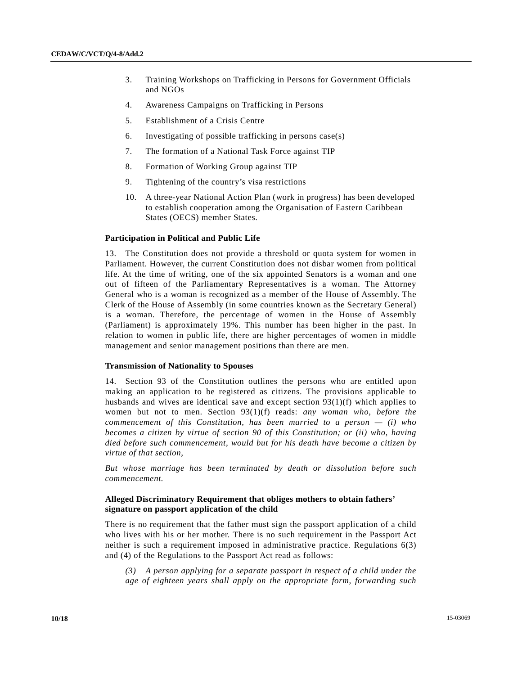- 3. Training Workshops on Trafficking in Persons for Government Officials and NGOs
- 4. Awareness Campaigns on Trafficking in Persons
- 5. Establishment of a Crisis Centre
- 6. Investigating of possible trafficking in persons case(s)
- 7. The formation of a National Task Force against TIP
- 8. Formation of Working Group against TIP
- 9. Tightening of the country's visa restrictions
- 10. A three-year National Action Plan (work in progress) has been developed to establish cooperation among the Organisation of Eastern Caribbean States (OECS) member States.

#### **Participation in Political and Public Life**

13. The Constitution does not provide a threshold or quota system for women in Parliament. However, the current Constitution does not disbar women from political life. At the time of writing, one of the six appointed Senators is a woman and one out of fifteen of the Parliamentary Representatives is a woman. The Attorney General who is a woman is recognized as a member of the House of Assembly. The Clerk of the House of Assembly (in some countries known as the Secretary General) is a woman. Therefore, the percentage of women in the House of Assembly (Parliament) is approximately 19%. This number has been higher in the past. In relation to women in public life, there are higher percentages of women in middle management and senior management positions than there are men.

#### **Transmission of Nationality to Spouses**

14. Section 93 of the Constitution outlines the persons who are entitled upon making an application to be registered as citizens. The provisions applicable to husbands and wives are identical save and except section  $93(1)(f)$  which applies to women but not to men. Section 93(1)(f) reads: *any woman who, before the commencement of this Constitution, has been married to a person — (i) who becomes a citizen by virtue of section 90 of this Constitution; or (ii) who, having died before such commencement, would but for his death have become a citizen by virtue of that section,*

*But whose marriage has been terminated by death or dissolution before such commencement.*

### **Alleged Discriminatory Requirement that obliges mothers to obtain fathers' signature on passport application of the child**

There is no requirement that the father must sign the passport application of a child who lives with his or her mother. There is no such requirement in the Passport Act neither is such a requirement imposed in administrative practice. Regulations 6(3) and (4) of the Regulations to the Passport Act read as follows:

*(3) A person applying for a separate passport in respect of a child under the age of eighteen years shall apply on the appropriate form, forwarding such*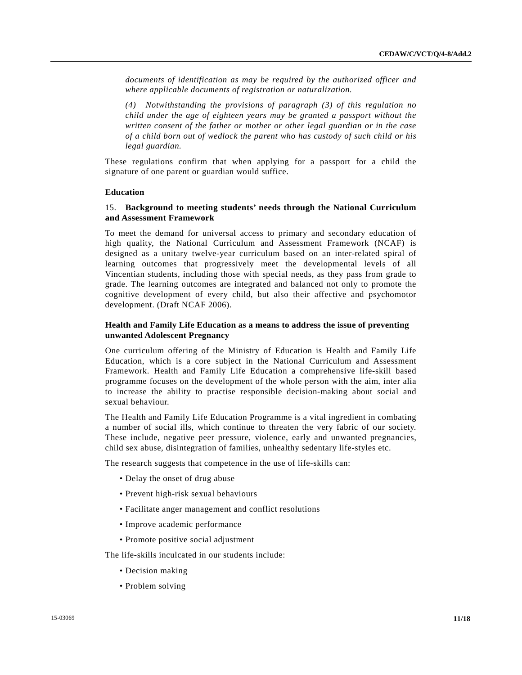*documents of identification as may be required by the authorized officer and where applicable documents of registration or naturalization.*

*(4) Notwithstanding the provisions of paragraph (3) of this regulation no child under the age of eighteen years may be granted a passport without the written consent of the father or mother or other legal guardian or in the case of a child born out of wedlock the parent who has custody of such child or his legal guardian.*

These regulations confirm that when applying for a passport for a child the signature of one parent or guardian would suffice.

### **Education**

### 15. **Background to meeting students' needs through the National Curriculum and Assessment Framework**

To meet the demand for universal access to primary and secondary education of high quality, the National Curriculum and Assessment Framework (NCAF) is designed as a unitary twelve-year curriculum based on an inter-related spiral of learning outcomes that progressively meet the developmental levels of all Vincentian students, including those with special needs, as they pass from grade to grade. The learning outcomes are integrated and balanced not only to promote the cognitive development of every child, but also their affective and psychomotor development. (Draft NCAF 2006).

### **Health and Family Life Education as a means to address the issue of preventing unwanted Adolescent Pregnancy**

One curriculum offering of the Ministry of Education is Health and Family Life Education, which is a core subject in the National Curriculum and Assessment Framework. Health and Family Life Education a comprehensive life-skill based programme focuses on the development of the whole person with the aim, inter alia to increase the ability to practise responsible decision-making about social and sexual behaviour.

The Health and Family Life Education Programme is a vital ingredient in combating a number of social ills, which continue to threaten the very fabric of our society. These include, negative peer pressure, violence, early and unwanted pregnancies, child sex abuse, disintegration of families, unhealthy sedentary life-styles etc.

The research suggests that competence in the use of life-skills can:

- Delay the onset of drug abuse
- Prevent high-risk sexual behaviours
- Facilitate anger management and conflict resolutions
- Improve academic performance
- Promote positive social adjustment

The life-skills inculcated in our students include:

- Decision making
- Problem solving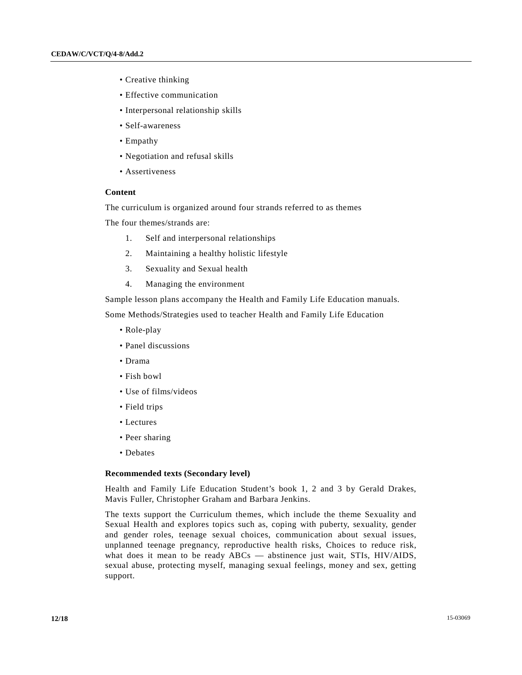- Creative thinking
- Effective communication
- Interpersonal relationship skills
- Self-awareness
- Empathy
- Negotiation and refusal skills
- Assertiveness

### **Content**

The curriculum is organized around four strands referred to as themes

The four themes/strands are:

- 1. Self and interpersonal relationships
- 2. Maintaining a healthy holistic lifestyle
- 3. Sexuality and Sexual health
- 4. Managing the environment

Sample lesson plans accompany the Health and Family Life Education manuals.

Some Methods/Strategies used to teacher Health and Family Life Education

- Role-play
- Panel discussions
- Drama
- Fish bowl
- Use of films/videos
- Field trips
- Lectures
- Peer sharing
- Debates

### **Recommended texts (Secondary level)**

Health and Family Life Education Student's book 1, 2 and 3 by Gerald Drakes, Mavis Fuller, Christopher Graham and Barbara Jenkins.

The texts support the Curriculum themes, which include the theme Sexuality and Sexual Health and explores topics such as, coping with puberty, sexuality, gender and gender roles, teenage sexual choices, communication about sexual issues, unplanned teenage pregnancy, reproductive health risks, Choices to reduce risk, what does it mean to be ready ABCs — abstinence just wait, STIs, HIV/AIDS, sexual abuse, protecting myself, managing sexual feelings, money and sex, getting support.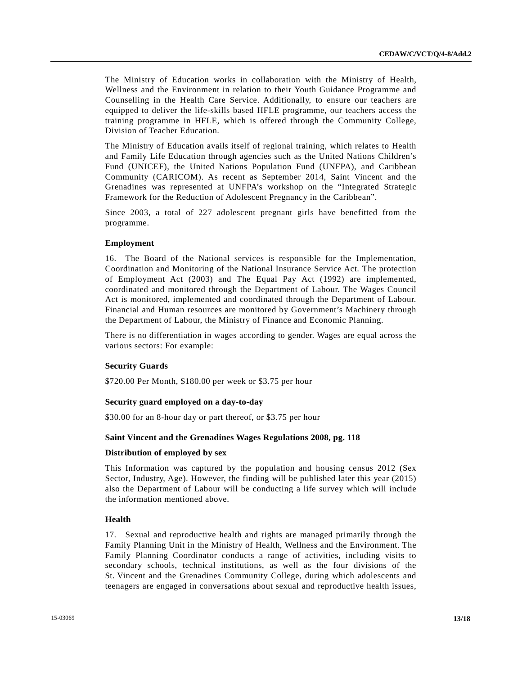The Ministry of Education works in collaboration with the Ministry of Health, Wellness and the Environment in relation to their Youth Guidance Programme and Counselling in the Health Care Service. Additionally, to ensure our teachers are equipped to deliver the life-skills based HFLE programme, our teachers access the training programme in HFLE, which is offered through the Community College, Division of Teacher Education.

The Ministry of Education avails itself of regional training, which relates to Health and Family Life Education through agencies such as the United Nations Children's Fund (UNICEF), the United Nations Population Fund (UNFPA), and Caribbean Community (CARICOM). As recent as September 2014, Saint Vincent and the Grenadines was represented at UNFPA's workshop on the "Integrated Strategic Framework for the Reduction of Adolescent Pregnancy in the Caribbean".

Since 2003, a total of 227 adolescent pregnant girls have benefitted from the programme.

### **Employment**

16. The Board of the National services is responsible for the Implementation, Coordination and Monitoring of the National Insurance Service Act. The protection of Employment Act (2003) and The Equal Pay Act (1992) are implemented, coordinated and monitored through the Department of Labour. The Wages Council Act is monitored, implemented and coordinated through the Department of Labour. Financial and Human resources are monitored by Government's Machinery through the Department of Labour, the Ministry of Finance and Economic Planning.

There is no differentiation in wages according to gender. Wages are equal across the various sectors: For example:

#### **Security Guards**

\$720.00 Per Month, \$180.00 per week or \$3.75 per hour

#### **Security guard employed on a day-to-day**

\$30.00 for an 8-hour day or part thereof, or \$3.75 per hour

### **Saint Vincent and the Grenadines Wages Regulations 2008, pg. 118**

### **Distribution of employed by sex**

This Information was captured by the population and housing census 2012 (Sex Sector, Industry, Age). However, the finding will be published later this year (2015) also the Department of Labour will be conducting a life survey which will include the information mentioned above.

### **Health**

17. Sexual and reproductive health and rights are managed primarily through the Family Planning Unit in the Ministry of Health, Wellness and the Environment. The Family Planning Coordinator conducts a range of activities, including visits to secondary schools, technical institutions, as well as the four divisions of the St. Vincent and the Grenadines Community College, during which adolescents and teenagers are engaged in conversations about sexual and reproductive health issues,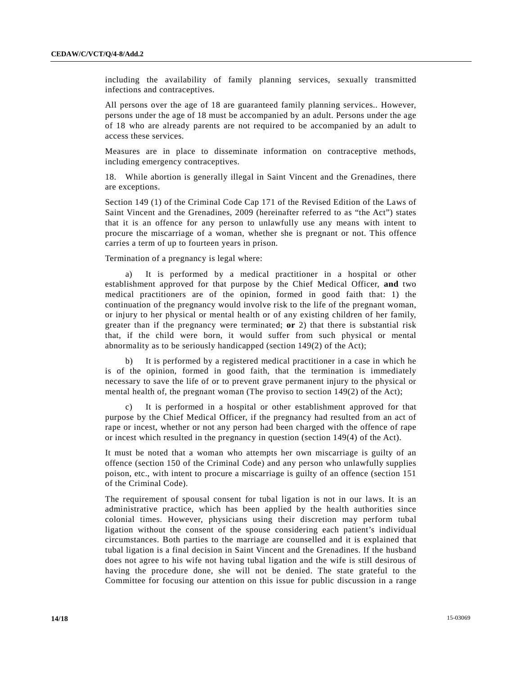including the availability of family planning services, sexually transmitted infections and contraceptives.

All persons over the age of 18 are guaranteed family planning services.. However, persons under the age of 18 must be accompanied by an adult. Persons under the age of 18 who are already parents are not required to be accompanied by an adult to access these services.

Measures are in place to disseminate information on contraceptive methods, including emergency contraceptives.

18. While abortion is generally illegal in Saint Vincent and the Grenadines, there are exceptions.

Section 149 (1) of the Criminal Code Cap 171 of the Revised Edition of the Laws of Saint Vincent and the Grenadines, 2009 (hereinafter referred to as "the Act") states that it is an offence for any person to unlawfully use any means with intent to procure the miscarriage of a woman, whether she is pregnant or not. This offence carries a term of up to fourteen years in prison.

### Termination of a pregnancy is legal where:

a) It is performed by a medical practitioner in a hospital or other establishment approved for that purpose by the Chief Medical Officer, **and** two medical practitioners are of the opinion, formed in good faith that: 1) the continuation of the pregnancy would involve risk to the life of the pregnant woman, or injury to her physical or mental health or of any existing children of her family, greater than if the pregnancy were terminated; **or** 2) that there is substantial risk that, if the child were born, it would suffer from such physical or mental abnormality as to be seriously handicapped (section 149(2) of the Act);

b) It is performed by a registered medical practitioner in a case in which he is of the opinion, formed in good faith, that the termination is immediately necessary to save the life of or to prevent grave permanent injury to the physical or mental health of, the pregnant woman (The proviso to section 149(2) of the Act);

It is performed in a hospital or other establishment approved for that purpose by the Chief Medical Officer, if the pregnancy had resulted from an act of rape or incest, whether or not any person had been charged with the offence of rape or incest which resulted in the pregnancy in question (section 149(4) of the Act).

It must be noted that a woman who attempts her own miscarriage is guilty of an offence (section 150 of the Criminal Code) and any person who unlawfully supplies poison, etc., with intent to procure a miscarriage is guilty of an offence (section 151 of the Criminal Code).

The requirement of spousal consent for tubal ligation is not in our laws. It is an administrative practice, which has been applied by the health authorities since colonial times. However, physicians using their discretion may perform tubal ligation without the consent of the spouse considering each patient's individual circumstances. Both parties to the marriage are counselled and it is explained that tubal ligation is a final decision in Saint Vincent and the Grenadines. If the husband does not agree to his wife not having tubal ligation and the wife is still desirous of having the procedure done, she will not be denied. The state grateful to the Committee for focusing our attention on this issue for public discussion in a range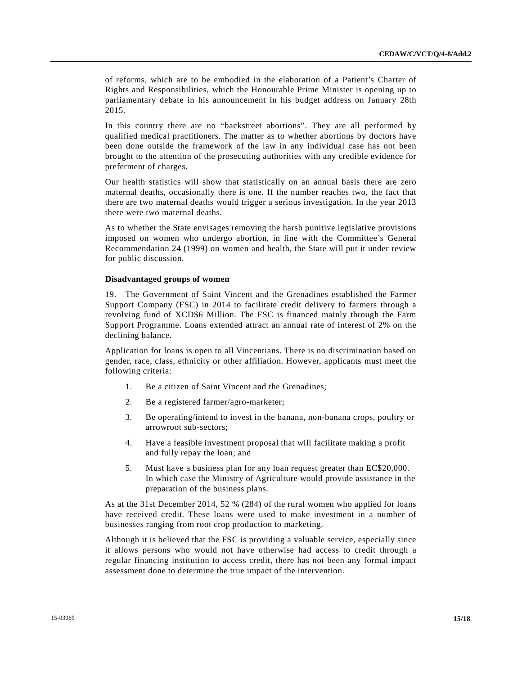of reforms, which are to be embodied in the elaboration of a Patient's Charter of Rights and Responsibilities, which the Honourable Prime Minister is opening up to parliamentary debate in his announcement in his budget address on January 28th 2015.

In this country there are no "backstreet abortions". They are all performed by qualified medical practitioners. The matter as to whether abortions by doctors have been done outside the framework of the law in any individual case has not been brought to the attention of the prosecuting authorities with any credible evidence for preferment of charges.

Our health statistics will show that statistically on an annual basis there are zero maternal deaths, occasionally there is one. If the number reaches two, the fact that there are two maternal deaths would trigger a serious investigation. In the year 2013 there were two maternal deaths.

As to whether the State envisages removing the harsh punitive legislative provisions imposed on women who undergo abortion, in line with the Committee's General Recommendation 24 (1999) on women and health, the State will put it under review for public discussion.

### **Disadvantaged groups of women**

19. The Government of Saint Vincent and the Grenadines established the Farmer Support Company (FSC) in 2014 to facilitate credit delivery to farmers through a revolving fund of XCD\$6 Million. The FSC is financed mainly through the Farm Support Programme. Loans extended attract an annual rate of interest of 2% on the declining balance.

Application for loans is open to all Vincentians. There is no discrimination based on gender, race, class, ethnicity or other affiliation. However, applicants must meet the following criteria:

- 1. Be a citizen of Saint Vincent and the Grenadines;
- 2. Be a registered farmer/agro-marketer;
- 3. Be operating/intend to invest in the banana, non-banana crops, poultry or arrowroot sub-sectors;
- 4. Have a feasible investment proposal that will facilitate making a profit and fully repay the loan; and
- 5. Must have a business plan for any loan request greater than EC\$20,000. In which case the Ministry of Agriculture would provide assistance in the preparation of the business plans.

As at the 31st December 2014, 52 % (284) of the rural women who applied for loans have received credit. These loans were used to make investment in a number of businesses ranging from root crop production to marketing.

Although it is believed that the FSC is providing a valuable service, especially since it allows persons who would not have otherwise had access to credit through a regular financing institution to access credit, there has not been any formal impact assessment done to determine the true impact of the intervention.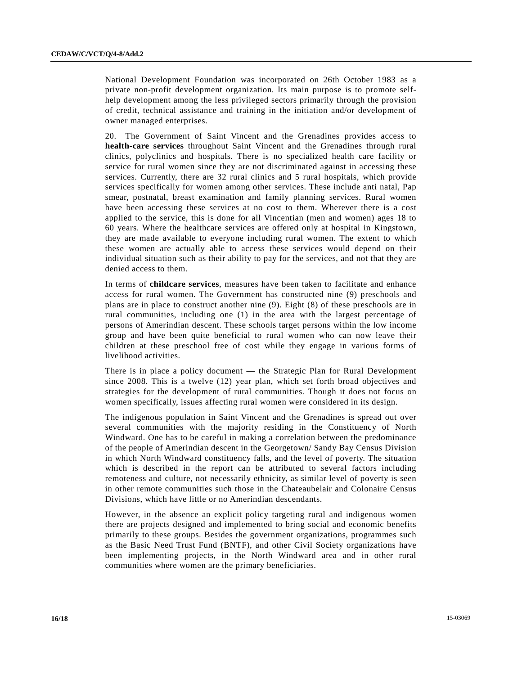National Development Foundation was incorporated on 26th October 1983 as a private non-profit development organization. Its main purpose is to promote selfhelp development among the less privileged sectors primarily through the provision of credit, technical assistance and training in the initiation and/or development of owner managed enterprises.

20. The Government of Saint Vincent and the Grenadines provides access to **health-care services** throughout Saint Vincent and the Grenadines through rural clinics, polyclinics and hospitals. There is no specialized health care facility or service for rural women since they are not discriminated against in accessing these services. Currently, there are 32 rural clinics and 5 rural hospitals, which provide services specifically for women among other services. These include anti natal, Pap smear, postnatal, breast examination and family planning services. Rural women have been accessing these services at no cost to them. Wherever there is a cost applied to the service, this is done for all Vincentian (men and women) ages 18 to 60 years. Where the healthcare services are offered only at hospital in Kingstown, they are made available to everyone including rural women. The extent to which these women are actually able to access these services would depend on their individual situation such as their ability to pay for the services, and not that they are denied access to them.

In terms of **childcare services**, measures have been taken to facilitate and enhance access for rural women. The Government has constructed nine (9) preschools and plans are in place to construct another nine (9). Eight (8) of these preschools are in rural communities, including one (1) in the area with the largest percentage of persons of Amerindian descent. These schools target persons within the low income group and have been quite beneficial to rural women who can now leave their children at these preschool free of cost while they engage in various forms of livelihood activities.

There is in place a policy document — the Strategic Plan for Rural Development since 2008. This is a twelve (12) year plan, which set forth broad objectives and strategies for the development of rural communities. Though it does not focus on women specifically, issues affecting rural women were considered in its design.

The indigenous population in Saint Vincent and the Grenadines is spread out over several communities with the majority residing in the Constituency of North Windward. One has to be careful in making a correlation between the predominance of the people of Amerindian descent in the Georgetown/ Sandy Bay Census Division in which North Windward constituency falls, and the level of poverty. The situation which is described in the report can be attributed to several factors including remoteness and culture, not necessarily ethnicity, as similar level of poverty is seen in other remote communities such those in the Chateaubelair and Colonaire Census Divisions, which have little or no Amerindian descendants.

However, in the absence an explicit policy targeting rural and indigenous women there are projects designed and implemented to bring social and economic benefits primarily to these groups. Besides the government organizations, programmes such as the Basic Need Trust Fund (BNTF), and other Civil Society organizations have been implementing projects, in the North Windward area and in other rural communities where women are the primary beneficiaries.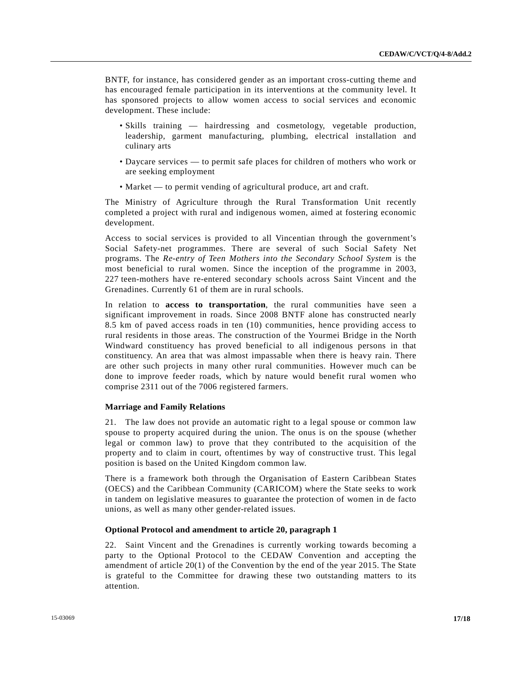BNTF, for instance, has considered gender as an important cross-cutting theme and has encouraged female participation in its interventions at the community level. It has sponsored projects to allow women access to social services and economic development. These include:

- Skills training hairdressing and cosmetology, vegetable production, leadership, garment manufacturing, plumbing, electrical installation and culinary arts
- Daycare services to permit safe places for children of mothers who work or are seeking employment
- Market to permit vending of agricultural produce, art and craft.

The Ministry of Agriculture through the Rural Transformation Unit recently completed a project with rural and indigenous women, aimed at fostering economic development.

Access to social services is provided to all Vincentian through the government's Social Safety-net programmes. There are several of such Social Safety Net programs. The *Re-entry of Teen Mothers into the Secondary School System* is the most beneficial to rural women. Since the inception of the programme in 2003, 227 teen-mothers have re-entered secondary schools across Saint Vincent and the Grenadines. Currently 61 of them are in rural schools.

In relation to **access to transportation**, the rural communities have seen a significant improvement in roads. Since 2008 BNTF alone has constructed nearly 8.5 km of paved access roads in ten (10) communities, hence providing access to rural residents in those areas. The construction of the Yourmei Bridge in the North Windward constituency has proved beneficial to all indigenous persons in that constituency. An area that was almost impassable when there is heavy rain. There are other such projects in many other rural communities. However much can be done to improve feeder roads, which by nature would benefit rural women who comprise 2311 out of the 7006 registered farmers.

### **Marriage and Family Relations**

21. The law does not provide an automatic right to a legal spouse or common law spouse to property acquired during the union. The onus is on the spouse (whether legal or common law) to prove that they contributed to the acquisition of the property and to claim in court, oftentimes by way of constructive trust. This legal position is based on the United Kingdom common law.

There is a framework both through the Organisation of Eastern Caribbean States (OECS) and the Caribbean Community (CARICOM) where the State seeks to work in tandem on legislative measures to guarantee the protection of women in de facto unions, as well as many other gender-related issues.

### **Optional Protocol and amendment to article 20, paragraph 1**

22. Saint Vincent and the Grenadines is currently working towards becoming a party to the Optional Protocol to the CEDAW Convention and accepting the amendment of article 20(1) of the Convention by the end of the year 2015. The State is grateful to the Committee for drawing these two outstanding matters to its attention.